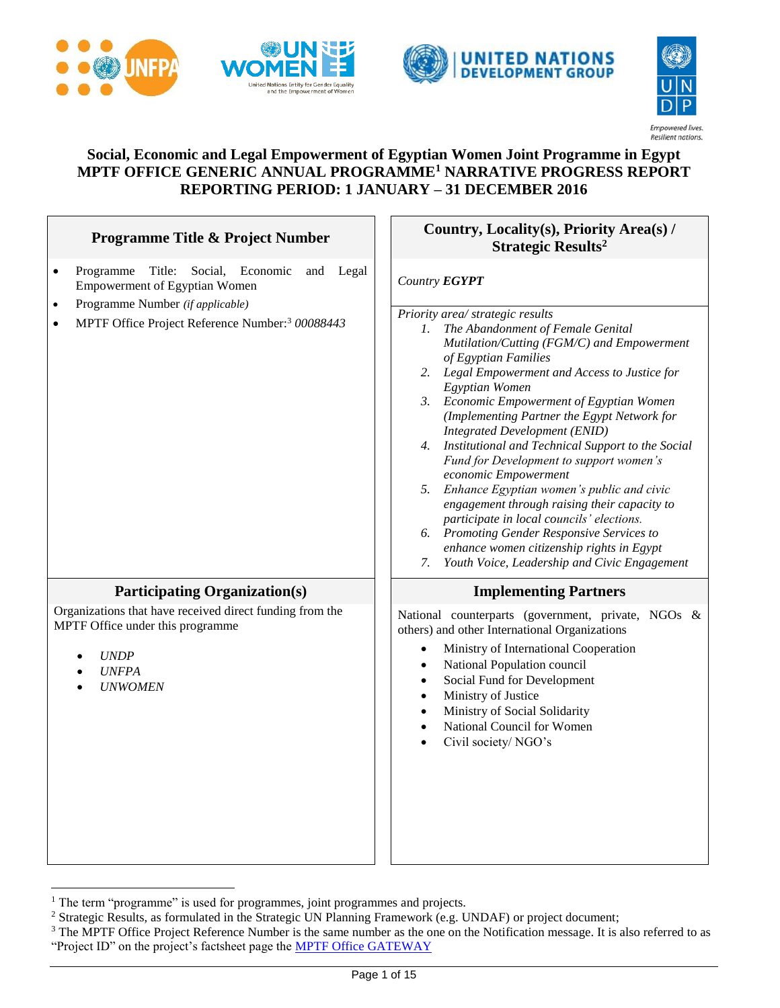







#### **Social, Economic and Legal Empowerment of Egyptian Women Joint Programme in Egypt MPTF OFFICE GENERIC ANNUAL PROGRAMME<sup>1</sup> NARRATIVE PROGRESS REPORT REPORTING PERIOD: 1 JANUARY – 31 DECEMBER 2016**

| <b>Programme Title &amp; Project Number</b>                                                                                                                                                                                            | Country, Locality(s), Priority Area(s) /<br><b>Strategic Results<sup>2</sup></b>                                                                                                                                                                                                                                                                                                                                                                                                                                                                                                                                                                                                                                                                                                                                    |  |
|----------------------------------------------------------------------------------------------------------------------------------------------------------------------------------------------------------------------------------------|---------------------------------------------------------------------------------------------------------------------------------------------------------------------------------------------------------------------------------------------------------------------------------------------------------------------------------------------------------------------------------------------------------------------------------------------------------------------------------------------------------------------------------------------------------------------------------------------------------------------------------------------------------------------------------------------------------------------------------------------------------------------------------------------------------------------|--|
| Title:<br>Social, Economic<br>and Legal<br>Programme<br>$\bullet$<br><b>Empowerment of Egyptian Women</b><br>Programme Number (if applicable)<br>$\bullet$<br>MPTF Office Project Reference Number: <sup>3</sup> 00088443<br>$\bullet$ | Country EGYPT<br>Priority area/ strategic results<br>The Abandonment of Female Genital<br>$l_{\rm{c}}$<br>Mutilation/Cutting (FGM/C) and Empowerment<br>of Egyptian Families<br>2. Legal Empowerment and Access to Justice for<br>Egyptian Women<br>3. Economic Empowerment of Egyptian Women<br>(Implementing Partner the Egypt Network for<br><b>Integrated Development (ENID)</b><br>Institutional and Technical Support to the Social<br>4.<br>Fund for Development to support women's<br>economic Empowerment<br>5.<br>Enhance Egyptian women's public and civic<br>engagement through raising their capacity to<br>participate in local councils' elections.<br>6. Promoting Gender Responsive Services to<br>enhance women citizenship rights in Egypt<br>7.<br>Youth Voice, Leadership and Civic Engagement |  |
| <b>Participating Organization(s)</b>                                                                                                                                                                                                   | <b>Implementing Partners</b>                                                                                                                                                                                                                                                                                                                                                                                                                                                                                                                                                                                                                                                                                                                                                                                        |  |
| Organizations that have received direct funding from the<br>MPTF Office under this programme<br><b>UNDP</b><br><b>UNFPA</b><br><b>UNWOMEN</b>                                                                                          | National counterparts (government, private, NGOs &<br>others) and other International Organizations<br>Ministry of International Cooperation<br>$\bullet$<br>National Population council<br>$\bullet$<br>Social Fund for Development<br>$\bullet$<br>Ministry of Justice<br>$\bullet$<br>Ministry of Social Solidarity<br>$\bullet$<br>National Council for Women<br>$\bullet$<br>Civil society/NGO's                                                                                                                                                                                                                                                                                                                                                                                                               |  |

<sup>&</sup>lt;sup>1</sup> The term "programme" is used for programmes, joint programmes and projects.

 $\overline{a}$ 

<sup>&</sup>lt;sup>2</sup> Strategic Results, as formulated in the Strategic UN Planning Framework (e.g. UNDAF) or project document;

<sup>&</sup>lt;sup>3</sup> The MPTF Office Project Reference Number is the same number as the one on the Notification message. It is also referred to as "Project ID" on the project's factsheet page the [MPTF Office GATEWAY](http://mdtf.undp.org/)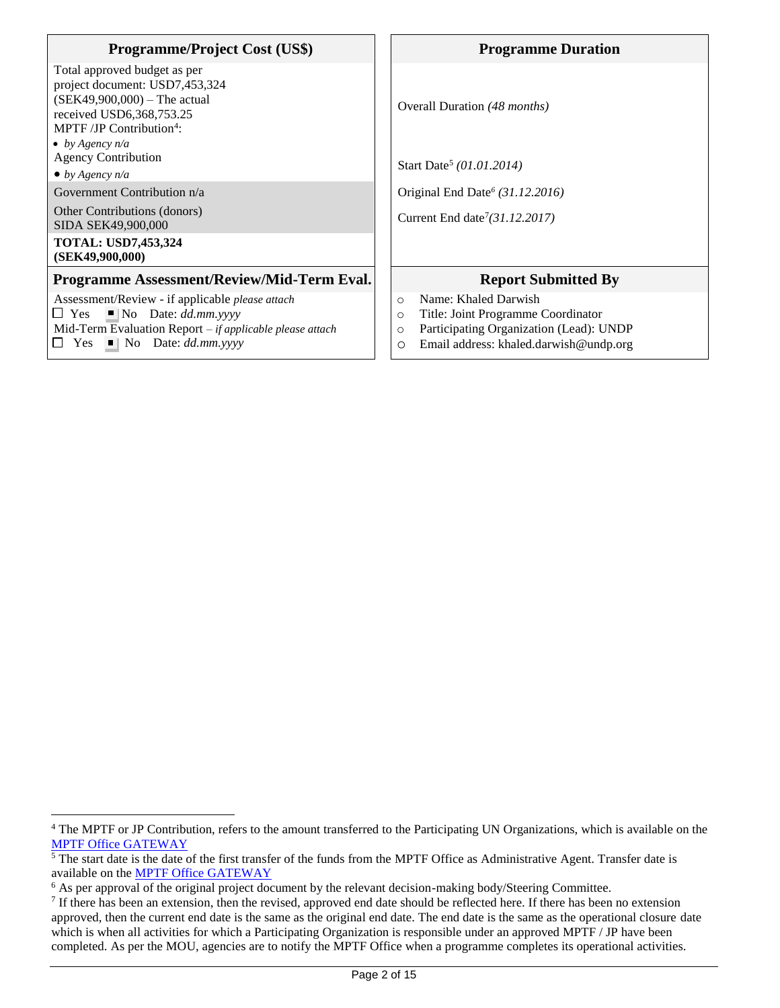| <b>Programme/Project Cost (US\$)</b>                                                                                                                                                                                    | <b>Programme Duration</b>                                                                                                                                                              |
|-------------------------------------------------------------------------------------------------------------------------------------------------------------------------------------------------------------------------|----------------------------------------------------------------------------------------------------------------------------------------------------------------------------------------|
| Total approved budget as per<br>project document: USD7,453,324<br>$(SEK49,900,000) - The actual$<br>received USD6,368,753.25<br>MPTF /JP Contribution <sup>4</sup> :<br>• by Agency $n/a$<br><b>Agency Contribution</b> | Overall Duration (48 <i>months</i> )<br>Start Date <sup>5</sup> (01.01.2014)                                                                                                           |
| $\bullet$ by Agency n/a                                                                                                                                                                                                 |                                                                                                                                                                                        |
| Government Contribution n/a                                                                                                                                                                                             | Original End Date <sup>6</sup> (31.12.2016)                                                                                                                                            |
| Other Contributions (donors)<br>SIDA SEK49,900,000                                                                                                                                                                      | Current End date <sup>7</sup> $(31.12.2017)$                                                                                                                                           |
| <b>TOTAL: USD7,453,324</b><br>(SEK49,900,000)                                                                                                                                                                           |                                                                                                                                                                                        |
| Programme Assessment/Review/Mid-Term Eval.                                                                                                                                                                              | <b>Report Submitted By</b>                                                                                                                                                             |
| Assessment/Review - if applicable <i>please attach</i><br>$\Box$ Yes $\Box$ No Date: dd.mm.yyyy<br>Mid-Term Evaluation Report - if applicable please attach<br>$\Box$ Yes $\Box$ No Date: <i>dd.mm.yyyy</i>             | Name: Khaled Darwish<br>$\Omega$<br>Title: Joint Programme Coordinator<br>$\circ$<br>Participating Organization (Lead): UNDP<br>$\circ$<br>Email address: khaled.darwish@undp.org<br>O |

 $\overline{a}$ <sup>4</sup> The MPTF or JP Contribution, refers to the amount transferred to the Participating UN Organizations, which is available on the [MPTF Office GATEWAY](http://mdtf.undp.org/)

 $\frac{5}{10}$  The start date is the date of the first transfer of the funds from the MPTF Office as Administrative Agent. Transfer date is available on the **MPTF** Office GATEWAY

<sup>&</sup>lt;sup>6</sup> As per approval of the original project document by the relevant decision-making body/Steering Committee.

 $<sup>7</sup>$  If there has been an extension, then the revised, approved end date should be reflected here. If there has been no extension</sup> approved, then the current end date is the same as the original end date. The end date is the same as the operational closure date which is when all activities for which a Participating Organization is responsible under an approved MPTF / JP have been completed. As per the MOU, agencies are to notify the MPTF Office when a programme completes its operational activities.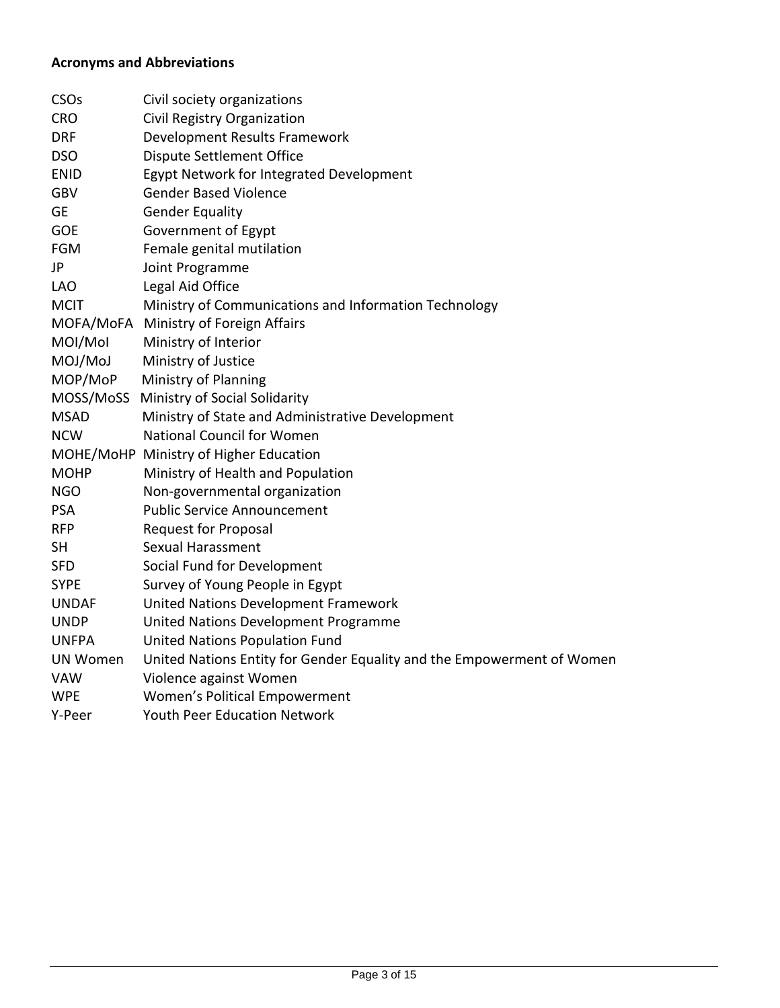### **Acronyms and Abbreviations**

| CSO <sub>s</sub> | Civil society organizations                                            |
|------------------|------------------------------------------------------------------------|
| <b>CRO</b>       | Civil Registry Organization                                            |
| <b>DRF</b>       | Development Results Framework                                          |
| <b>DSO</b>       | Dispute Settlement Office                                              |
| <b>ENID</b>      | Egypt Network for Integrated Development                               |
| <b>GBV</b>       | <b>Gender Based Violence</b>                                           |
| <b>GE</b>        | <b>Gender Equality</b>                                                 |
| <b>GOE</b>       | Government of Egypt                                                    |
| <b>FGM</b>       | Female genital mutilation                                              |
| JP               | Joint Programme                                                        |
| <b>LAO</b>       | Legal Aid Office                                                       |
| <b>MCIT</b>      | Ministry of Communications and Information Technology                  |
|                  | MOFA/MoFA Ministry of Foreign Affairs                                  |
| MOI/Mol          | Ministry of Interior                                                   |
| MOJ/MoJ          | Ministry of Justice                                                    |
| MOP/MoP          | Ministry of Planning                                                   |
| MOSS/MoSS        | Ministry of Social Solidarity                                          |
| <b>MSAD</b>      | Ministry of State and Administrative Development                       |
| <b>NCW</b>       | <b>National Council for Women</b>                                      |
|                  | MOHE/MoHP Ministry of Higher Education                                 |
| <b>MOHP</b>      | Ministry of Health and Population                                      |
| <b>NGO</b>       | Non-governmental organization                                          |
| <b>PSA</b>       | <b>Public Service Announcement</b>                                     |
| <b>RFP</b>       | <b>Request for Proposal</b>                                            |
| <b>SH</b>        | Sexual Harassment                                                      |
| <b>SFD</b>       | Social Fund for Development                                            |
| <b>SYPE</b>      | Survey of Young People in Egypt                                        |
| <b>UNDAF</b>     | United Nations Development Framework                                   |
| <b>UNDP</b>      | United Nations Development Programme                                   |
| <b>UNFPA</b>     | <b>United Nations Population Fund</b>                                  |
| UN Women         | United Nations Entity for Gender Equality and the Empowerment of Women |
| <b>VAW</b>       | Violence against Women                                                 |
| <b>WPE</b>       | Women's Political Empowerment                                          |
| Y-Peer           | <b>Youth Peer Education Network</b>                                    |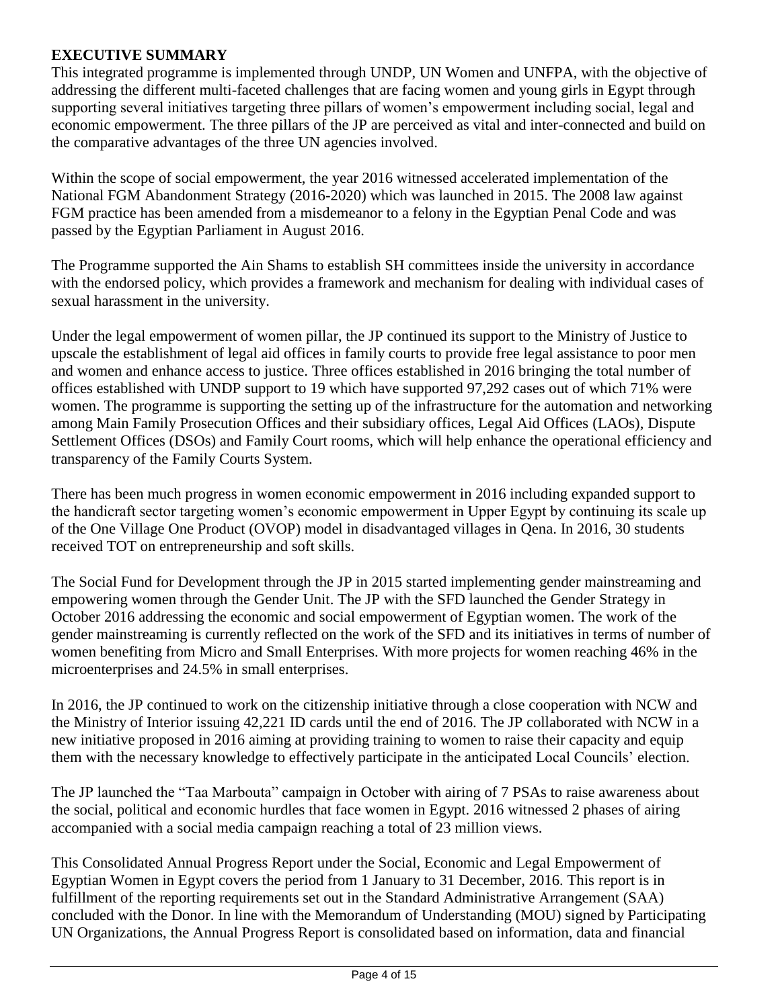### **EXECUTIVE SUMMARY**

This integrated programme is implemented through UNDP, UN Women and UNFPA, with the objective of addressing the different multi-faceted challenges that are facing women and young girls in Egypt through supporting several initiatives targeting three pillars of women's empowerment including social, legal and economic empowerment. The three pillars of the JP are perceived as vital and inter-connected and build on the comparative advantages of the three UN agencies involved.

Within the scope of social empowerment, the year 2016 witnessed accelerated implementation of the National FGM Abandonment Strategy (2016-2020) which was launched in 2015. The 2008 law against FGM practice has been amended from a misdemeanor to a felony in the Egyptian Penal Code and was passed by the Egyptian Parliament in August 2016.

The Programme supported the Ain Shams to establish SH committees inside the university in accordance with the endorsed policy, which provides a framework and mechanism for dealing with individual cases of sexual harassment in the university.

Under the legal empowerment of women pillar, the JP continued its support to the Ministry of Justice to upscale the establishment of legal aid offices in family courts to provide free legal assistance to poor men and women and enhance access to justice. Three offices established in 2016 bringing the total number of offices established with UNDP support to 19 which have supported 97,292 cases out of which 71% were women. The programme is supporting the setting up of the infrastructure for the automation and networking among Main Family Prosecution Offices and their subsidiary offices, Legal Aid Offices (LAOs), Dispute Settlement Offices (DSOs) and Family Court rooms, which will help enhance the operational efficiency and transparency of the Family Courts System.

There has been much progress in women economic empowerment in 2016 including expanded support to the handicraft sector targeting women's economic empowerment in Upper Egypt by continuing its scale up of the One Village One Product (OVOP) model in disadvantaged villages in Qena. In 2016, 30 students received TOT on entrepreneurship and soft skills.

The Social Fund for Development through the JP in 2015 started implementing gender mainstreaming and empowering women through the Gender Unit. The JP with the SFD launched the Gender Strategy in October 2016 addressing the economic and social empowerment of Egyptian women. The work of the gender mainstreaming is currently reflected on the work of the SFD and its initiatives in terms of number of women benefiting from Micro and Small Enterprises. With more projects for women reaching 46% in the microenterprises and 24.5% in small enterprises.

In 2016, the JP continued to work on the citizenship initiative through a close cooperation with NCW and the Ministry of Interior issuing 42,221 ID cards until the end of 2016. The JP collaborated with NCW in a new initiative proposed in 2016 aiming at providing training to women to raise their capacity and equip them with the necessary knowledge to effectively participate in the anticipated Local Councils' election.

The JP launched the "Taa Marbouta" campaign in October with airing of 7 PSAs to raise awareness about the social, political and economic hurdles that face women in Egypt. 2016 witnessed 2 phases of airing accompanied with a social media campaign reaching a total of 23 million views.

This Consolidated Annual Progress Report under the Social, Economic and Legal Empowerment of Egyptian Women in Egypt covers the period from 1 January to 31 December, 2016. This report is in fulfillment of the reporting requirements set out in the Standard Administrative Arrangement (SAA) concluded with the Donor. In line with the Memorandum of Understanding (MOU) signed by Participating UN Organizations, the Annual Progress Report is consolidated based on information, data and financial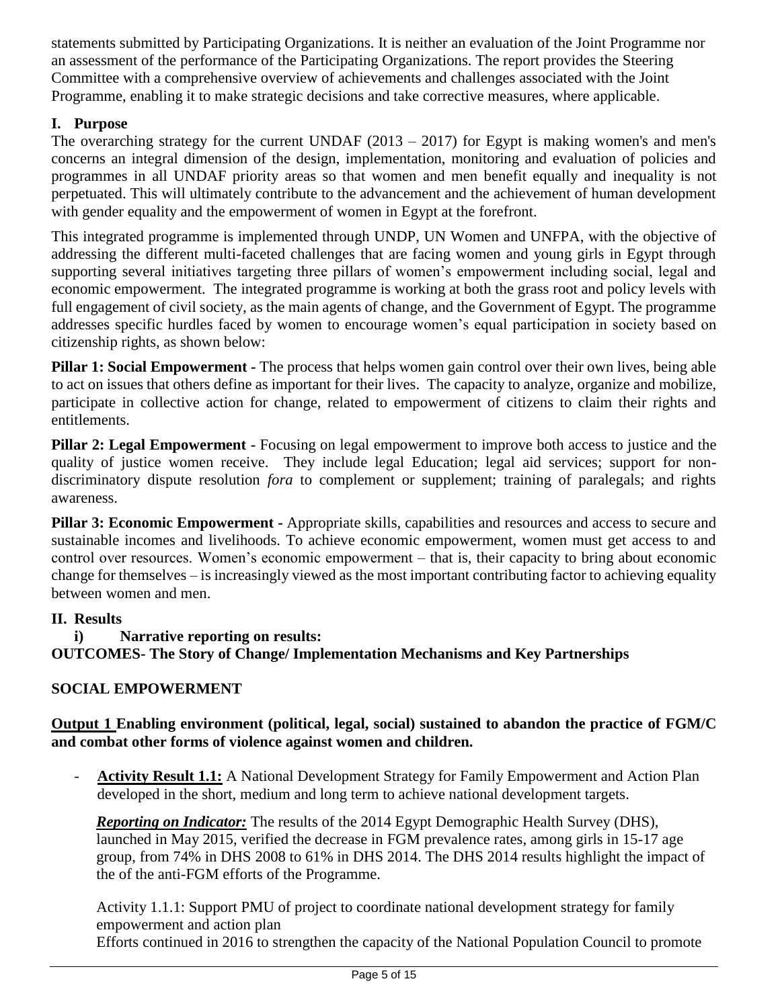statements submitted by Participating Organizations. It is neither an evaluation of the Joint Programme nor an assessment of the performance of the Participating Organizations. The report provides the Steering Committee with a comprehensive overview of achievements and challenges associated with the Joint Programme, enabling it to make strategic decisions and take corrective measures, where applicable.

# **I. Purpose**

The overarching strategy for the current UNDAF  $(2013 - 2017)$  for Egypt is making women's and men's concerns an integral dimension of the design, implementation, monitoring and evaluation of policies and programmes in all UNDAF priority areas so that women and men benefit equally and inequality is not perpetuated. This will ultimately contribute to the advancement and the achievement of human development with gender equality and the empowerment of women in Egypt at the forefront.

This integrated programme is implemented through UNDP, UN Women and UNFPA, with the objective of addressing the different multi-faceted challenges that are facing women and young girls in Egypt through supporting several initiatives targeting three pillars of women's empowerment including social, legal and economic empowerment. The integrated programme is working at both the grass root and policy levels with full engagement of civil society, as the main agents of change, and the Government of Egypt. The programme addresses specific hurdles faced by women to encourage women's equal participation in society based on citizenship rights, as shown below:

**Pillar 1: Social Empowerment -** The process that helps women gain control over their own lives, being able to act on issues that others define as important for their lives. The capacity to analyze, organize and mobilize, participate in collective action for change, related to empowerment of citizens to claim their rights and entitlements.

**Pillar 2: Legal Empowerment -** Focusing on legal empowerment to improve both access to justice and the quality of justice women receive. They include legal Education; legal aid services; support for nondiscriminatory dispute resolution *fora* to complement or supplement; training of paralegals; and rights awareness.

**Pillar 3: Economic Empowerment -** Appropriate skills, capabilities and resources and access to secure and sustainable incomes and livelihoods. To achieve economic empowerment, women must get access to and control over resources. Women's economic empowerment – that is, their capacity to bring about economic change for themselves – is increasingly viewed as the most important contributing factor to achieving equality between women and men.

#### **II. Results**

### **i) Narrative reporting on results:**

**OUTCOMES- The Story of Change/ Implementation Mechanisms and Key Partnerships**

### **SOCIAL EMPOWERMENT**

### **Output 1 Enabling environment (political, legal, social) sustained to abandon the practice of FGM/C and combat other forms of violence against women and children.**

Activity Result 1.1: A National Development Strategy for Family Empowerment and Action Plan developed in the short, medium and long term to achieve national development targets.

*Reporting on Indicator:* The results of the 2014 Egypt Demographic Health Survey (DHS), launched in May 2015, verified the decrease in FGM prevalence rates, among girls in 15-17 age group, from 74% in DHS 2008 to 61% in DHS 2014. The DHS 2014 results highlight the impact of the of the anti-FGM efforts of the Programme.

Activity 1.1.1: Support PMU of project to coordinate national development strategy for family empowerment and action plan

Efforts continued in 2016 to strengthen the capacity of the National Population Council to promote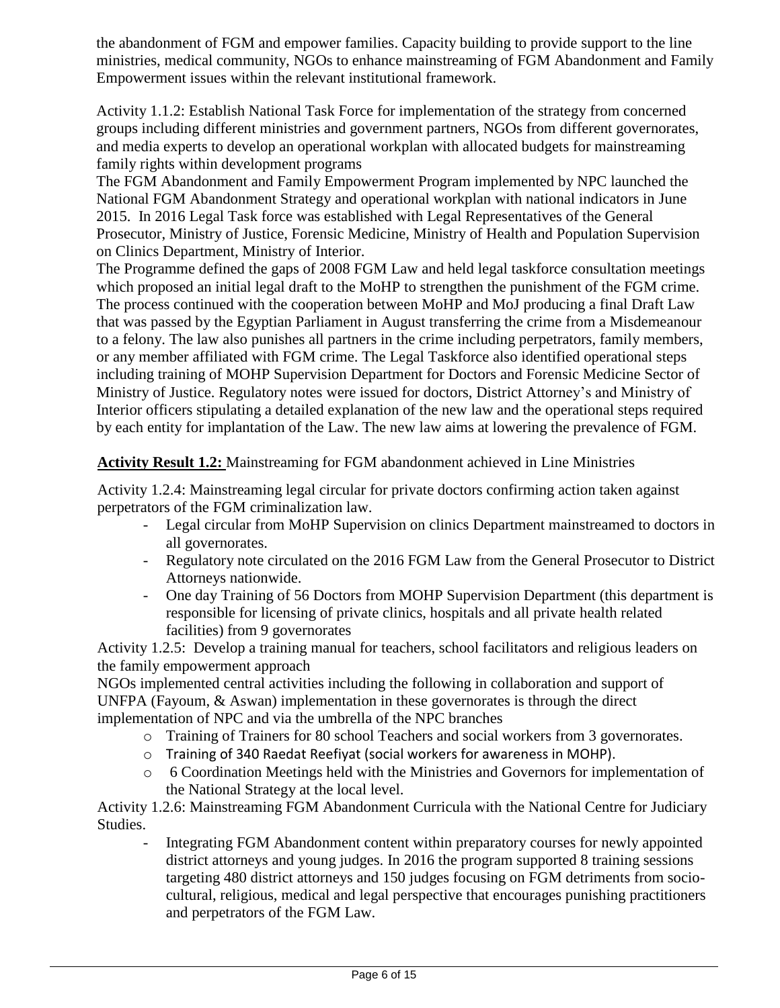the abandonment of FGM and empower families. Capacity building to provide support to the line ministries, medical community, NGOs to enhance mainstreaming of FGM Abandonment and Family Empowerment issues within the relevant institutional framework.

Activity 1.1.2: Establish National Task Force for implementation of the strategy from concerned groups including different ministries and government partners, NGOs from different governorates, and media experts to develop an operational workplan with allocated budgets for mainstreaming family rights within development programs

The FGM Abandonment and Family Empowerment Program implemented by NPC launched the National FGM Abandonment Strategy and operational workplan with national indicators in June 2015. In 2016 Legal Task force was established with Legal Representatives of the General Prosecutor, Ministry of Justice, Forensic Medicine, Ministry of Health and Population Supervision on Clinics Department, Ministry of Interior.

The Programme defined the gaps of 2008 FGM Law and held legal taskforce consultation meetings which proposed an initial legal draft to the MoHP to strengthen the punishment of the FGM crime. The process continued with the cooperation between MoHP and MoJ producing a final Draft Law that was passed by the Egyptian Parliament in August transferring the crime from a Misdemeanour to a felony. The law also punishes all partners in the crime including perpetrators, family members, or any member affiliated with FGM crime. The Legal Taskforce also identified operational steps including training of MOHP Supervision Department for Doctors and Forensic Medicine Sector of Ministry of Justice. Regulatory notes were issued for doctors, District Attorney's and Ministry of Interior officers stipulating a detailed explanation of the new law and the operational steps required by each entity for implantation of the Law. The new law aims at lowering the prevalence of FGM.

### **Activity Result 1.2:** Mainstreaming for FGM abandonment achieved in Line Ministries

Activity 1.2.4: Mainstreaming legal circular for private doctors confirming action taken against perpetrators of the FGM criminalization law.

- Legal circular from MoHP Supervision on clinics Department mainstreamed to doctors in all governorates.
- Regulatory note circulated on the 2016 FGM Law from the General Prosecutor to District Attorneys nationwide.
- One day Training of 56 Doctors from MOHP Supervision Department (this department is responsible for licensing of private clinics, hospitals and all private health related facilities) from 9 governorates

Activity 1.2.5: Develop a training manual for teachers, school facilitators and religious leaders on the family empowerment approach

NGOs implemented central activities including the following in collaboration and support of UNFPA (Fayoum, & Aswan) implementation in these governorates is through the direct implementation of NPC and via the umbrella of the NPC branches

- o Training of Trainers for 80 school Teachers and social workers from 3 governorates.
- o Training of 340 Raedat Reefiyat (social workers for awareness in MOHP).
- o 6 Coordination Meetings held with the Ministries and Governors for implementation of the National Strategy at the local level.

Activity 1.2.6: Mainstreaming FGM Abandonment Curricula with the National Centre for Judiciary Studies.

- Integrating FGM Abandonment content within preparatory courses for newly appointed district attorneys and young judges. In 2016 the program supported 8 training sessions targeting 480 district attorneys and 150 judges focusing on FGM detriments from sociocultural, religious, medical and legal perspective that encourages punishing practitioners and perpetrators of the FGM Law.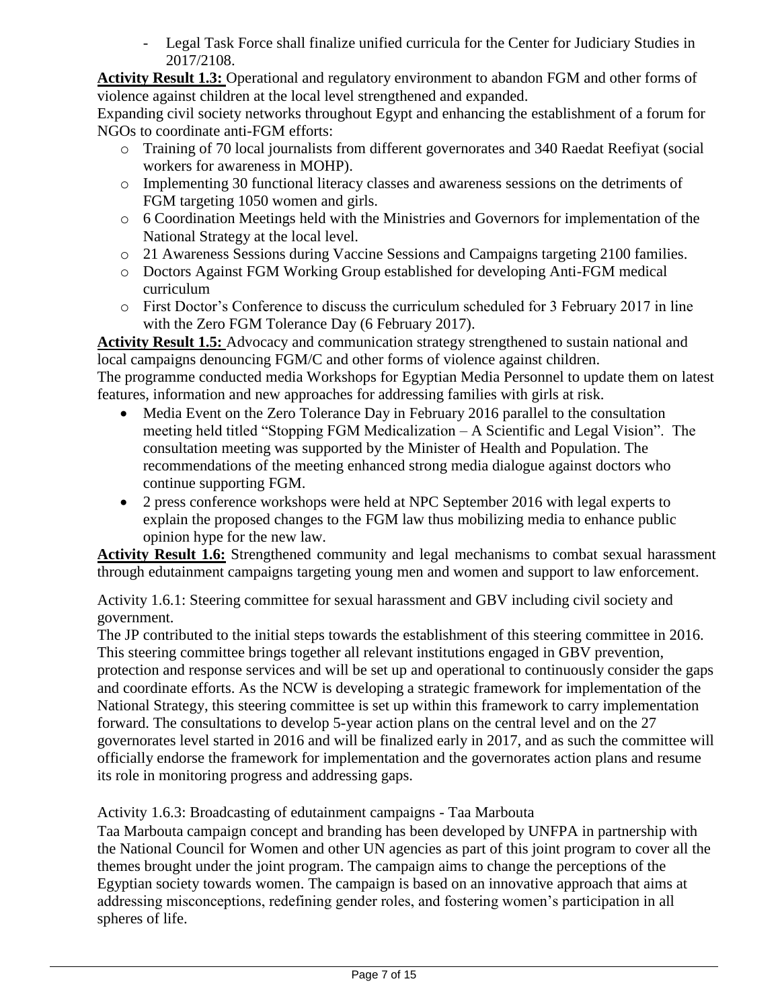- Legal Task Force shall finalize unified curricula for the Center for Judiciary Studies in 2017/2108.

**Activity Result 1.3:** Operational and regulatory environment to abandon FGM and other forms of violence against children at the local level strengthened and expanded.

Expanding civil society networks throughout Egypt and enhancing the establishment of a forum for NGOs to coordinate anti-FGM efforts:

- o Training of 70 local journalists from different governorates and 340 Raedat Reefiyat (social workers for awareness in MOHP).
- o Implementing 30 functional literacy classes and awareness sessions on the detriments of FGM targeting 1050 women and girls.
- o 6 Coordination Meetings held with the Ministries and Governors for implementation of the National Strategy at the local level.
- o 21 Awareness Sessions during Vaccine Sessions and Campaigns targeting 2100 families.
- o Doctors Against FGM Working Group established for developing Anti-FGM medical curriculum
- o First Doctor's Conference to discuss the curriculum scheduled for 3 February 2017 in line with the Zero FGM Tolerance Day (6 February 2017).

**Activity Result 1.5:** Advocacy and communication strategy strengthened to sustain national and local campaigns denouncing FGM/C and other forms of violence against children. The programme conducted media Workshops for Egyptian Media Personnel to update them on latest features, information and new approaches for addressing families with girls at risk.

- Media Event on the Zero Tolerance Day in February 2016 parallel to the consultation meeting held titled "Stopping FGM Medicalization – A Scientific and Legal Vision". The consultation meeting was supported by the Minister of Health and Population. The recommendations of the meeting enhanced strong media dialogue against doctors who continue supporting FGM.
- 2 press conference workshops were held at NPC September 2016 with legal experts to explain the proposed changes to the FGM law thus mobilizing media to enhance public opinion hype for the new law.

**Activity Result 1.6:** Strengthened community and legal mechanisms to combat sexual harassment through edutainment campaigns targeting young men and women and support to law enforcement.

Activity 1.6.1: Steering committee for sexual harassment and GBV including civil society and government.

The JP contributed to the initial steps towards the establishment of this steering committee in 2016. This steering committee brings together all relevant institutions engaged in GBV prevention, protection and response services and will be set up and operational to continuously consider the gaps and coordinate efforts. As the NCW is developing a strategic framework for implementation of the National Strategy, this steering committee is set up within this framework to carry implementation forward. The consultations to develop 5-year action plans on the central level and on the 27 governorates level started in 2016 and will be finalized early in 2017, and as such the committee will officially endorse the framework for implementation and the governorates action plans and resume its role in monitoring progress and addressing gaps.

### Activity 1.6.3: Broadcasting of edutainment campaigns - Taa Marbouta

Taa Marbouta campaign concept and branding has been developed by UNFPA in partnership with the National Council for Women and other UN agencies as part of this joint program to cover all the themes brought under the joint program. The campaign aims to change the perceptions of the Egyptian society towards women. The campaign is based on an innovative approach that aims at addressing misconceptions, redefining gender roles, and fostering women's participation in all spheres of life.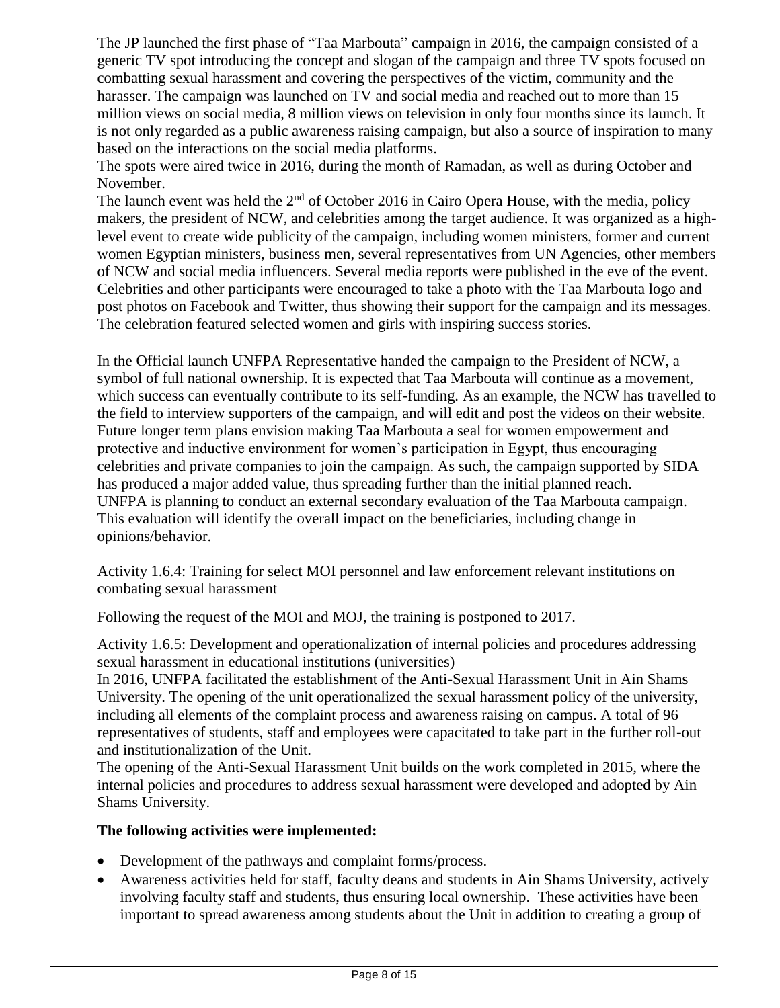The JP launched the first phase of "Taa Marbouta" campaign in 2016, the campaign consisted of a generic TV spot introducing the concept and slogan of the campaign and three TV spots focused on combatting sexual harassment and covering the perspectives of the victim, community and the harasser. The campaign was launched on TV and social media and reached out to more than 15 million views on social media, 8 million views on television in only four months since its launch. It is not only regarded as a public awareness raising campaign, but also a source of inspiration to many based on the interactions on the social media platforms.

The spots were aired twice in 2016, during the month of Ramadan, as well as during October and November.

The launch event was held the  $2<sup>nd</sup>$  of October 2016 in Cairo Opera House, with the media, policy makers, the president of NCW, and celebrities among the target audience. It was organized as a highlevel event to create wide publicity of the campaign, including women ministers, former and current women Egyptian ministers, business men, several representatives from UN Agencies, other members of NCW and social media influencers. Several media reports were published in the eve of the event. Celebrities and other participants were encouraged to take a photo with the Taa Marbouta logo and post photos on Facebook and Twitter, thus showing their support for the campaign and its messages. The celebration featured selected women and girls with inspiring success stories.

In the Official launch UNFPA Representative handed the campaign to the President of NCW, a symbol of full national ownership. It is expected that Taa Marbouta will continue as a movement, which success can eventually contribute to its self-funding. As an example, the NCW has travelled to the field to interview supporters of the campaign, and will edit and post the videos on their website. Future longer term plans envision making Taa Marbouta a seal for women empowerment and protective and inductive environment for women's participation in Egypt, thus encouraging celebrities and private companies to join the campaign. As such, the campaign supported by SIDA has produced a major added value, thus spreading further than the initial planned reach. UNFPA is planning to conduct an external secondary evaluation of the Taa Marbouta campaign. This evaluation will identify the overall impact on the beneficiaries, including change in opinions/behavior.

Activity 1.6.4: Training for select MOI personnel and law enforcement relevant institutions on combating sexual harassment

Following the request of the MOI and MOJ, the training is postponed to 2017.

Activity 1.6.5: Development and operationalization of internal policies and procedures addressing sexual harassment in educational institutions (universities)

In 2016, UNFPA facilitated the establishment of the Anti-Sexual Harassment Unit in Ain Shams University. The opening of the unit operationalized the sexual harassment policy of the university, including all elements of the complaint process and awareness raising on campus. A total of 96 representatives of students, staff and employees were capacitated to take part in the further roll-out and institutionalization of the Unit.

The opening of the Anti-Sexual Harassment Unit builds on the work completed in 2015, where the internal policies and procedures to address sexual harassment were developed and adopted by Ain Shams University.

#### **The following activities were implemented:**

- Development of the pathways and complaint forms/process.
- Awareness activities held for staff, faculty deans and students in Ain Shams University, actively involving faculty staff and students, thus ensuring local ownership. These activities have been important to spread awareness among students about the Unit in addition to creating a group of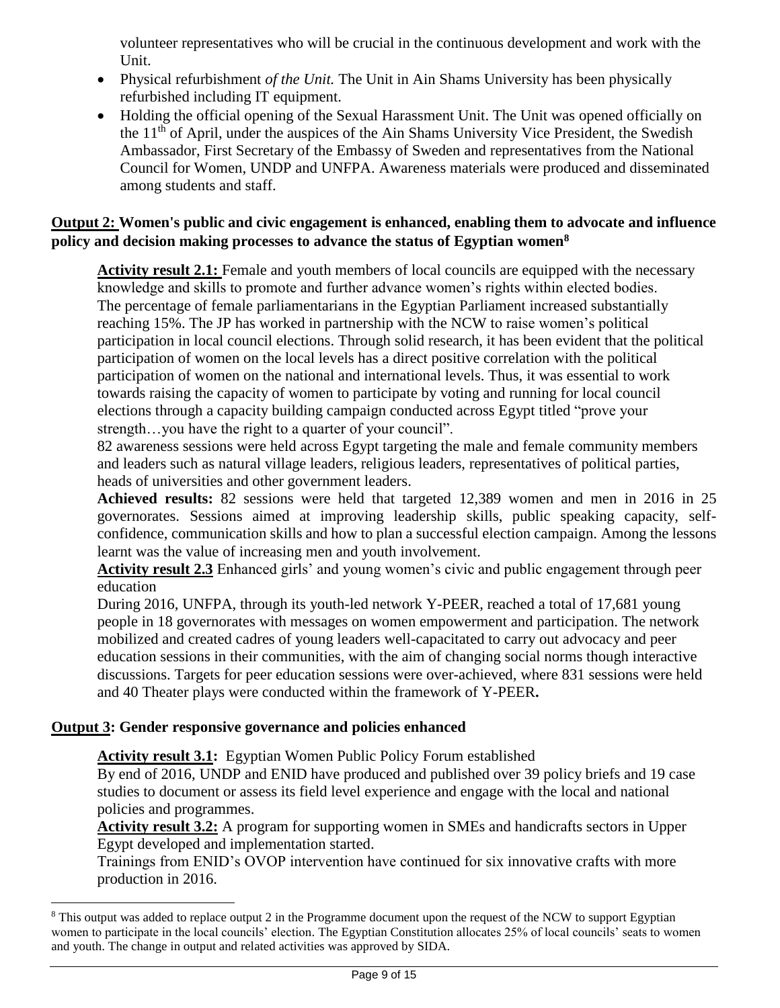volunteer representatives who will be crucial in the continuous development and work with the Unit.

- Physical refurbishment *of the Unit.* The Unit in Ain Shams University has been physically refurbished including IT equipment.
- Holding the official opening of the Sexual Harassment Unit. The Unit was opened officially on the 11th of April, under the auspices of the Ain Shams University Vice President, the Swedish Ambassador, First Secretary of the Embassy of Sweden and representatives from the National Council for Women, UNDP and UNFPA. Awareness materials were produced and disseminated among students and staff.

### **Output 2: Women's public and civic engagement is enhanced, enabling them to advocate and influence policy and decision making processes to advance the status of Egyptian women<sup>8</sup>**

**Activity result 2.1:** Female and youth members of local councils are equipped with the necessary knowledge and skills to promote and further advance women's rights within elected bodies. The percentage of female parliamentarians in the Egyptian Parliament increased substantially reaching 15%. The JP has worked in partnership with the NCW to raise women's political participation in local council elections. Through solid research, it has been evident that the political participation of women on the local levels has a direct positive correlation with the political participation of women on the national and international levels. Thus, it was essential to work towards raising the capacity of women to participate by voting and running for local council elections through a capacity building campaign conducted across Egypt titled "prove your strength…you have the right to a quarter of your council".

82 awareness sessions were held across Egypt targeting the male and female community members and leaders such as natural village leaders, religious leaders, representatives of political parties, heads of universities and other government leaders.

**Achieved results:** 82 sessions were held that targeted 12,389 women and men in 2016 in 25 governorates. Sessions aimed at improving leadership skills, public speaking capacity, selfconfidence, communication skills and how to plan a successful election campaign. Among the lessons learnt was the value of increasing men and youth involvement.

**Activity result 2.3** Enhanced girls' and young women's civic and public engagement through peer education

During 2016, UNFPA, through its youth-led network Y-PEER, reached a total of 17,681 young people in 18 governorates with messages on women empowerment and participation. The network mobilized and created cadres of young leaders well-capacitated to carry out advocacy and peer education sessions in their communities, with the aim of changing social norms though interactive discussions. Targets for peer education sessions were over-achieved, where 831 sessions were held and 40 Theater plays were conducted within the framework of Y-PEER**.** 

# **Output 3: Gender responsive governance and policies enhanced**

 $\overline{a}$ 

**Activity result 3.1:**Egyptian Women Public Policy Forum established

By end of 2016, UNDP and ENID have produced and published over 39 policy briefs and 19 case studies to document or assess its field level experience and engage with the local and national policies and programmes.

**Activity result 3.2:** A program for supporting women in SMEs and handicrafts sectors in Upper Egypt developed and implementation started.

Trainings from ENID's OVOP intervention have continued for six innovative crafts with more production in 2016.

 $8$  This output was added to replace output 2 in the Programme document upon the request of the NCW to support Egyptian women to participate in the local councils' election. The Egyptian Constitution allocates 25% of local councils' seats to women and youth. The change in output and related activities was approved by SIDA.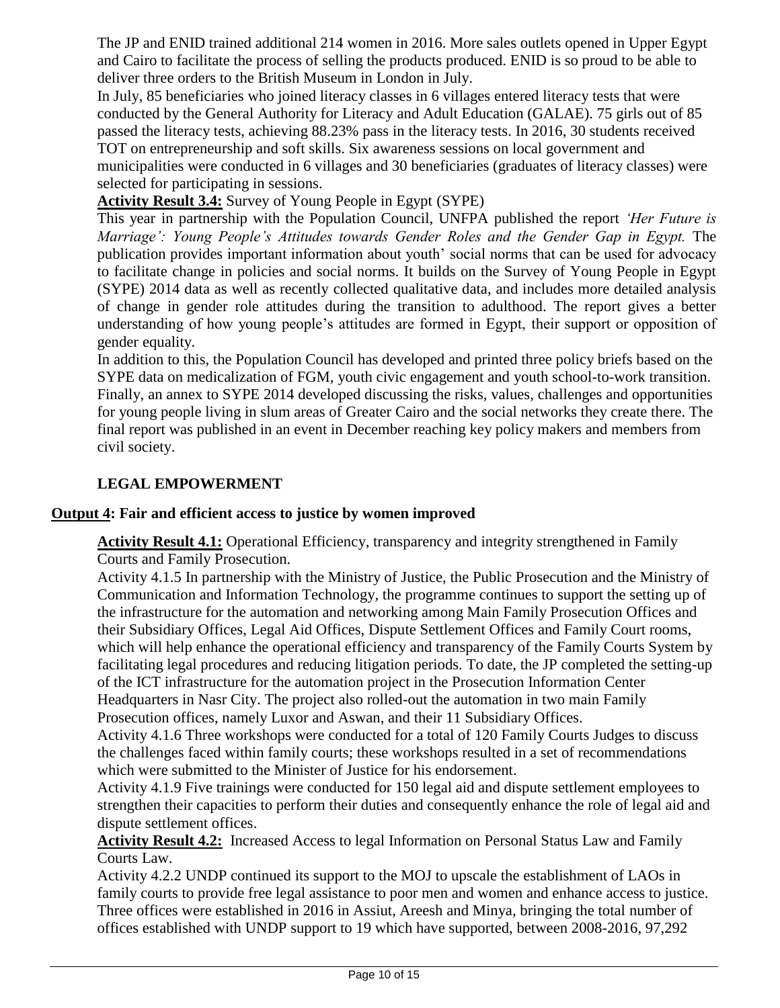The JP and ENID trained additional 214 women in 2016. More sales outlets opened in Upper Egypt and Cairo to facilitate the process of selling the products produced. ENID is so proud to be able to deliver three orders to the British Museum in London in July.

In July, 85 beneficiaries who joined literacy classes in 6 villages entered literacy tests that were conducted by the General Authority for Literacy and Adult Education (GALAE). 75 girls out of 85 passed the literacy tests, achieving 88.23% pass in the literacy tests. In 2016, 30 students received TOT on entrepreneurship and soft skills. Six awareness sessions on local government and municipalities were conducted in 6 villages and 30 beneficiaries (graduates of literacy classes) were selected for participating in sessions.

# **Activity Result 3.4:** Survey of Young People in Egypt (SYPE)

This year in partnership with the Population Council, UNFPA published the report *'Her Future is Marriage': Young People's Attitudes towards Gender Roles and the Gender Gap in Egypt.* The publication provides important information about youth' social norms that can be used for advocacy to facilitate change in policies and social norms. It builds on the Survey of Young People in Egypt (SYPE) 2014 data as well as recently collected qualitative data, and includes more detailed analysis of change in gender role attitudes during the transition to adulthood. The report gives a better understanding of how young people's attitudes are formed in Egypt, their support or opposition of gender equality.

In addition to this, the Population Council has developed and printed three policy briefs based on the SYPE data on medicalization of FGM, youth civic engagement and youth school-to-work transition. Finally, an annex to SYPE 2014 developed discussing the risks, values, challenges and opportunities for young people living in slum areas of Greater Cairo and the social networks they create there. The final report was published in an event in December reaching key policy makers and members from civil society.

# **LEGAL EMPOWERMENT**

### **Output 4: Fair and efficient access to justice by women improved**

**Activity Result 4.1:** Operational Efficiency, transparency and integrity strengthened in Family Courts and Family Prosecution.

Activity 4.1.5 In partnership with the Ministry of Justice, the Public Prosecution and the Ministry of Communication and Information Technology, the programme continues to support the setting up of the infrastructure for the automation and networking among Main Family Prosecution Offices and their Subsidiary Offices, Legal Aid Offices, Dispute Settlement Offices and Family Court rooms, which will help enhance the operational efficiency and transparency of the Family Courts System by facilitating legal procedures and reducing litigation periods. To date, the JP completed the setting-up of the ICT infrastructure for the automation project in the Prosecution Information Center Headquarters in Nasr City. The project also rolled-out the automation in two main Family Prosecution offices, namely Luxor and Aswan, and their 11 Subsidiary Offices.

Activity 4.1.6 Three workshops were conducted for a total of 120 Family Courts Judges to discuss the challenges faced within family courts; these workshops resulted in a set of recommendations which were submitted to the Minister of Justice for his endorsement.

Activity 4.1.9 Five trainings were conducted for 150 legal aid and dispute settlement employees to strengthen their capacities to perform their duties and consequently enhance the role of legal aid and dispute settlement offices.

**Activity Result 4.2:** Increased Access to legal Information on Personal Status Law and Family Courts Law.

Activity 4.2.2 UNDP continued its support to the MOJ to upscale the establishment of LAOs in family courts to provide free legal assistance to poor men and women and enhance access to justice. Three offices were established in 2016 in Assiut, Areesh and Minya, bringing the total number of offices established with UNDP support to 19 which have supported, between 2008-2016, 97,292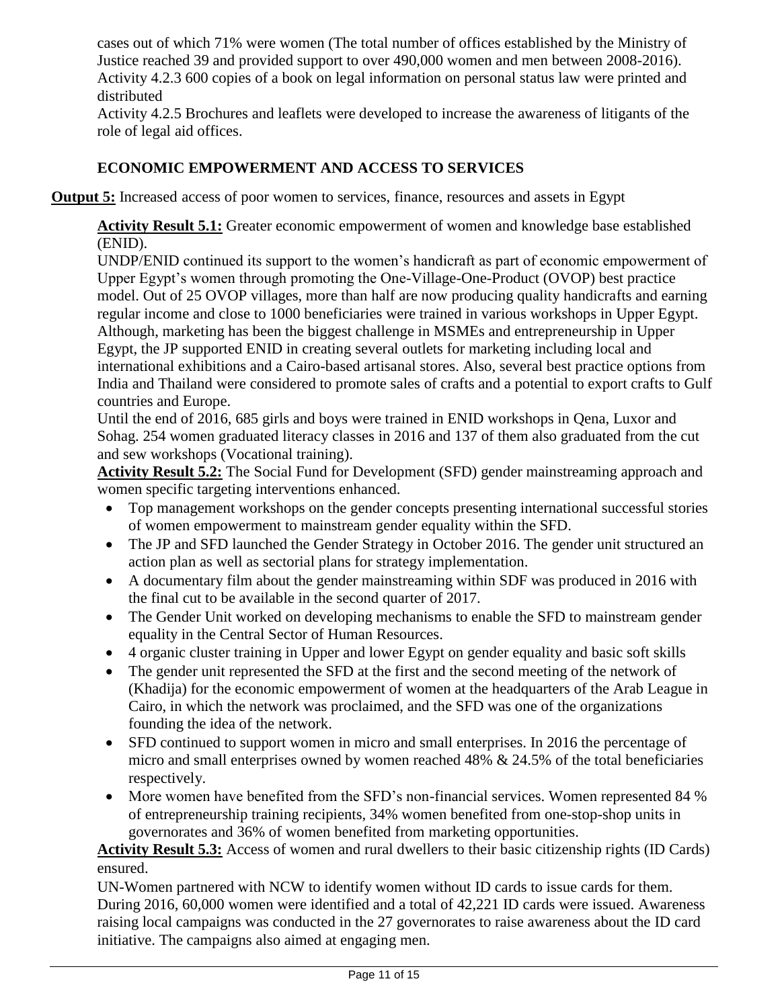cases out of which 71% were women (The total number of offices established by the Ministry of Justice reached 39 and provided support to over 490,000 women and men between 2008-2016). Activity 4.2.3 600 copies of a book on legal information on personal status law were printed and distributed

Activity 4.2.5 Brochures and leaflets were developed to increase the awareness of litigants of the role of legal aid offices.

# **ECONOMIC EMPOWERMENT AND ACCESS TO SERVICES**

**Output 5:** Increased access of poor women to services, finance, resources and assets in Egypt

**Activity Result 5.1:** Greater economic empowerment of women and knowledge base established (ENID).

UNDP/ENID continued its support to the women's handicraft as part of economic empowerment of Upper Egypt's women through promoting the One-Village-One-Product (OVOP) best practice model. Out of 25 OVOP villages, more than half are now producing quality handicrafts and earning regular income and close to 1000 beneficiaries were trained in various workshops in Upper Egypt. Although, marketing has been the biggest challenge in MSMEs and entrepreneurship in Upper Egypt, the JP supported ENID in creating several outlets for marketing including local and international exhibitions and a Cairo-based artisanal stores. Also, several best practice options from India and Thailand were considered to promote sales of crafts and a potential to export crafts to Gulf countries and Europe.

Until the end of 2016, 685 girls and boys were trained in ENID workshops in Qena, Luxor and Sohag. 254 women graduated literacy classes in 2016 and 137 of them also graduated from the cut and sew workshops (Vocational training).

**Activity Result 5.2:** The Social Fund for Development (SFD) gender mainstreaming approach and women specific targeting interventions enhanced.

- Top management workshops on the gender concepts presenting international successful stories of women empowerment to mainstream gender equality within the SFD.
- The JP and SFD launched the Gender Strategy in October 2016. The gender unit structured an action plan as well as sectorial plans for strategy implementation.
- A documentary film about the gender mainstreaming within SDF was produced in 2016 with the final cut to be available in the second quarter of 2017.
- The Gender Unit worked on developing mechanisms to enable the SFD to mainstream gender equality in the Central Sector of Human Resources.
- 4 organic cluster training in Upper and lower Egypt on gender equality and basic soft skills
- The gender unit represented the SFD at the first and the second meeting of the network of (Khadija) for the economic empowerment of women at the headquarters of the Arab League in Cairo, in which the network was proclaimed, and the SFD was one of the organizations founding the idea of the network.
- SFD continued to support women in micro and small enterprises. In 2016 the percentage of micro and small enterprises owned by women reached  $48\% \& 24.5\%$  of the total beneficiaries respectively.
- More women have benefited from the SFD's non-financial services. Women represented 84 % of entrepreneurship training recipients, 34% women benefited from one-stop-shop units in governorates and 36% of women benefited from marketing opportunities.

**Activity Result 5.3:** Access of women and rural dwellers to their basic citizenship rights (ID Cards) ensured.

UN-Women partnered with NCW to identify women without ID cards to issue cards for them. During 2016, 60,000 women were identified and a total of 42,221 ID cards were issued. Awareness raising local campaigns was conducted in the 27 governorates to raise awareness about the ID card initiative. The campaigns also aimed at engaging men.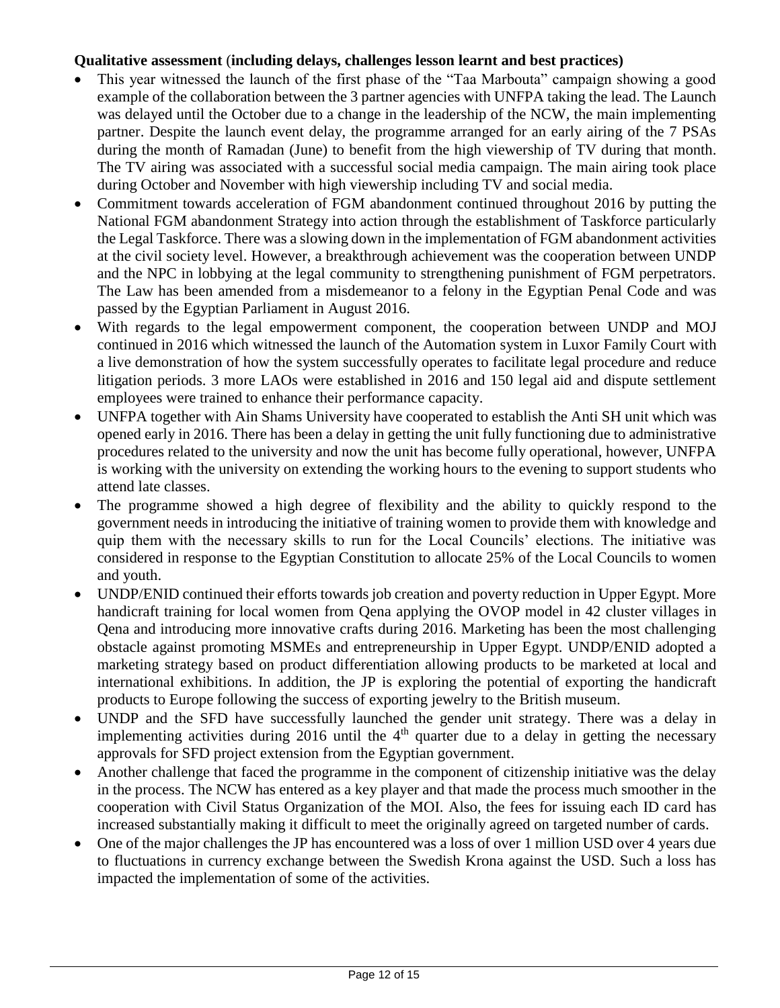#### **Qualitative assessment** (**including delays, challenges lesson learnt and best practices)**

- This year witnessed the launch of the first phase of the "Taa Marbouta" campaign showing a good example of the collaboration between the 3 partner agencies with UNFPA taking the lead. The Launch was delayed until the October due to a change in the leadership of the NCW, the main implementing partner. Despite the launch event delay, the programme arranged for an early airing of the 7 PSAs during the month of Ramadan (June) to benefit from the high viewership of TV during that month. The TV airing was associated with a successful social media campaign. The main airing took place during October and November with high viewership including TV and social media.
- Commitment towards acceleration of FGM abandonment continued throughout 2016 by putting the National FGM abandonment Strategy into action through the establishment of Taskforce particularly the Legal Taskforce. There was a slowing down in the implementation of FGM abandonment activities at the civil society level. However, a breakthrough achievement was the cooperation between UNDP and the NPC in lobbying at the legal community to strengthening punishment of FGM perpetrators. The Law has been amended from a misdemeanor to a felony in the Egyptian Penal Code and was passed by the Egyptian Parliament in August 2016.
- With regards to the legal empowerment component, the cooperation between UNDP and MOJ continued in 2016 which witnessed the launch of the Automation system in Luxor Family Court with a live demonstration of how the system successfully operates to facilitate legal procedure and reduce litigation periods. 3 more LAOs were established in 2016 and 150 legal aid and dispute settlement employees were trained to enhance their performance capacity.
- UNFPA together with Ain Shams University have cooperated to establish the Anti SH unit which was opened early in 2016. There has been a delay in getting the unit fully functioning due to administrative procedures related to the university and now the unit has become fully operational, however, UNFPA is working with the university on extending the working hours to the evening to support students who attend late classes.
- The programme showed a high degree of flexibility and the ability to quickly respond to the government needs in introducing the initiative of training women to provide them with knowledge and quip them with the necessary skills to run for the Local Councils' elections. The initiative was considered in response to the Egyptian Constitution to allocate 25% of the Local Councils to women and youth.
- UNDP/ENID continued their efforts towards job creation and poverty reduction in Upper Egypt. More handicraft training for local women from Qena applying the OVOP model in 42 cluster villages in Qena and introducing more innovative crafts during 2016. Marketing has been the most challenging obstacle against promoting MSMEs and entrepreneurship in Upper Egypt. UNDP/ENID adopted a marketing strategy based on product differentiation allowing products to be marketed at local and international exhibitions. In addition, the JP is exploring the potential of exporting the handicraft products to Europe following the success of exporting jewelry to the British museum.
- UNDP and the SFD have successfully launched the gender unit strategy. There was a delay in implementing activities during 2016 until the  $4<sup>th</sup>$  quarter due to a delay in getting the necessary approvals for SFD project extension from the Egyptian government.
- Another challenge that faced the programme in the component of citizenship initiative was the delay in the process. The NCW has entered as a key player and that made the process much smoother in the cooperation with Civil Status Organization of the MOI. Also, the fees for issuing each ID card has increased substantially making it difficult to meet the originally agreed on targeted number of cards.
- One of the major challenges the JP has encountered was a loss of over 1 million USD over 4 years due to fluctuations in currency exchange between the Swedish Krona against the USD. Such a loss has impacted the implementation of some of the activities.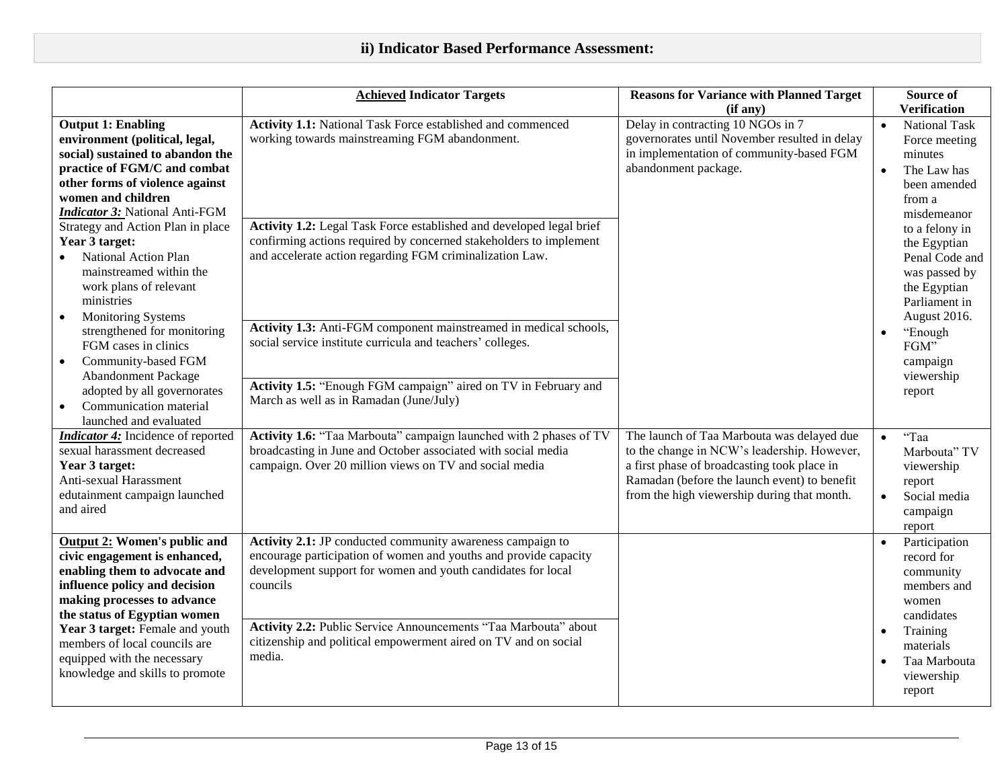|                                                                                                                                                                                                                                                                                                                                             | <b>Achieved Indicator Targets</b>                                                                                                                                                                                                                                                                                                                          | <b>Reasons for Variance with Planned Target</b>                                                                                                                                                                                         | Source of                                                                                                                                                                 |
|---------------------------------------------------------------------------------------------------------------------------------------------------------------------------------------------------------------------------------------------------------------------------------------------------------------------------------------------|------------------------------------------------------------------------------------------------------------------------------------------------------------------------------------------------------------------------------------------------------------------------------------------------------------------------------------------------------------|-----------------------------------------------------------------------------------------------------------------------------------------------------------------------------------------------------------------------------------------|---------------------------------------------------------------------------------------------------------------------------------------------------------------------------|
|                                                                                                                                                                                                                                                                                                                                             |                                                                                                                                                                                                                                                                                                                                                            | (if any)                                                                                                                                                                                                                                | <b>Verification</b>                                                                                                                                                       |
| <b>Output 1: Enabling</b><br>environment (political, legal,<br>social) sustained to abandon the<br>practice of FGM/C and combat<br>other forms of violence against<br>women and children<br><b>Indicator 3: National Anti-FGM</b>                                                                                                           | Activity 1.1: National Task Force established and commenced<br>working towards mainstreaming FGM abandonment.                                                                                                                                                                                                                                              | Delay in contracting 10 NGOs in 7<br>governorates until November resulted in delay<br>in implementation of community-based FGM<br>abandonment package.                                                                                  | <b>National Task</b><br>$\bullet$<br>Force meeting<br>minutes<br>The Law has<br>$\bullet$<br>been amended<br>from a                                                       |
| Strategy and Action Plan in place<br>Year 3 target:<br>National Action Plan<br>mainstreamed within the<br>work plans of relevant<br>ministries<br><b>Monitoring Systems</b>                                                                                                                                                                 | Activity 1.2: Legal Task Force established and developed legal brief<br>confirming actions required by concerned stakeholders to implement<br>and accelerate action regarding FGM criminalization Law.                                                                                                                                                     |                                                                                                                                                                                                                                         | misdemeanor<br>to a felony in<br>the Egyptian<br>Penal Code and<br>was passed by<br>the Egyptian<br>Parliament in<br>August 2016.                                         |
| strengthened for monitoring<br>FGM cases in clinics<br>Community-based FGM<br><b>Abandonment Package</b><br>adopted by all governorates<br>Communication material<br>launched and evaluated                                                                                                                                                 | Activity 1.3: Anti-FGM component mainstreamed in medical schools,<br>social service institute curricula and teachers' colleges.<br>Activity 1.5: "Enough FGM campaign" aired on TV in February and<br>March as well as in Ramadan (June/July)                                                                                                              |                                                                                                                                                                                                                                         | "Enough<br>$\bullet$<br>FGM"<br>campaign<br>viewership<br>report                                                                                                          |
| <b>Indicator 4:</b> Incidence of reported<br>sexual harassment decreased<br>Year 3 target:<br>Anti-sexual Harassment<br>edutainment campaign launched<br>and aired                                                                                                                                                                          | Activity 1.6: "Taa Marbouta" campaign launched with 2 phases of TV<br>broadcasting in June and October associated with social media<br>campaign. Over 20 million views on TV and social media                                                                                                                                                              | The launch of Taa Marbouta was delayed due<br>to the change in NCW's leadership. However,<br>a first phase of broadcasting took place in<br>Ramadan (before the launch event) to benefit<br>from the high viewership during that month. | "Taa<br>$\bullet$<br>Marbouta" TV<br>viewership<br>report<br>Social media<br>$\bullet$<br>campaign<br>report                                                              |
| <b>Output 2: Women's public and</b><br>civic engagement is enhanced,<br>enabling them to advocate and<br>influence policy and decision<br>making processes to advance<br>the status of Egyptian women<br>Year 3 target: Female and youth<br>members of local councils are<br>equipped with the necessary<br>knowledge and skills to promote | Activity 2.1: JP conducted community awareness campaign to<br>encourage participation of women and youths and provide capacity<br>development support for women and youth candidates for local<br>councils<br>Activity 2.2: Public Service Announcements "Taa Marbouta" about<br>citizenship and political empowerment aired on TV and on social<br>media. |                                                                                                                                                                                                                                         | Participation<br>$\bullet$<br>record for<br>community<br>members and<br>women<br>candidates<br>Training<br>$\bullet$<br>materials<br>Taa Marbouta<br>viewership<br>report |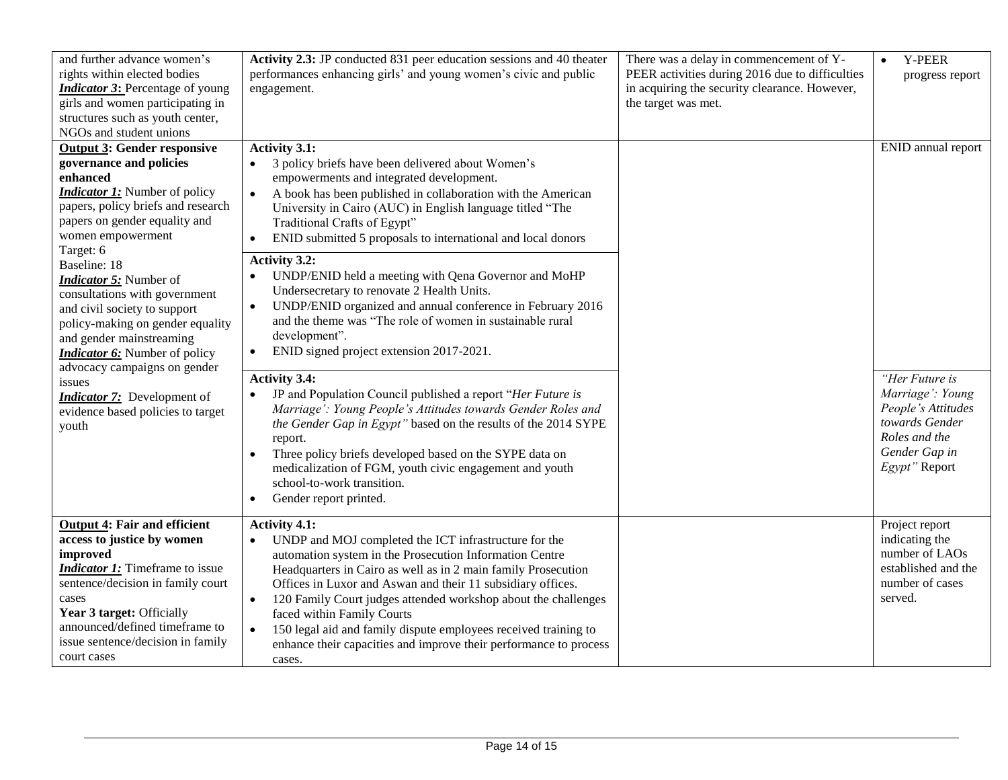| and further advance women's<br>rights within elected bodies<br><b>Indicator 3:</b> Percentage of young<br>girls and women participating in<br>structures such as youth center,<br>NGOs and student unions                                                                                                                                                                                                                                                                                                                                                                          | Activity 2.3: JP conducted 831 peer education sessions and 40 theater<br>performances enhancing girls' and young women's civic and public<br>engagement.                                                                                                                                                                                                                                                                                                                                                                                                                                                                                                                                                                     | There was a delay in commencement of Y-<br>PEER activities during 2016 due to difficulties<br>in acquiring the security clearance. However,<br>the target was met. | <b>Y-PEER</b><br>$\bullet$<br>progress report                                                                                 |
|------------------------------------------------------------------------------------------------------------------------------------------------------------------------------------------------------------------------------------------------------------------------------------------------------------------------------------------------------------------------------------------------------------------------------------------------------------------------------------------------------------------------------------------------------------------------------------|------------------------------------------------------------------------------------------------------------------------------------------------------------------------------------------------------------------------------------------------------------------------------------------------------------------------------------------------------------------------------------------------------------------------------------------------------------------------------------------------------------------------------------------------------------------------------------------------------------------------------------------------------------------------------------------------------------------------------|--------------------------------------------------------------------------------------------------------------------------------------------------------------------|-------------------------------------------------------------------------------------------------------------------------------|
| <b>Output 3: Gender responsive</b><br>governance and policies<br>enhanced<br><b>Indicator 1:</b> Number of policy<br>papers, policy briefs and research<br>papers on gender equality and<br>women empowerment<br>Target: 6<br>Baseline: 18<br><b>Indicator 5:</b> Number of<br>consultations with government<br>and civil society to support<br>policy-making on gender equality<br>and gender mainstreaming<br><b>Indicator 6:</b> Number of policy<br>advocacy campaigns on gender<br>issues<br><b>Indicator 7:</b> Development of<br>evidence based policies to target<br>youth | <b>Activity 3.1:</b><br>3 policy briefs have been delivered about Women's<br>$\bullet$<br>empowerments and integrated development.<br>A book has been published in collaboration with the American<br>$\bullet$<br>University in Cairo (AUC) in English language titled "The<br>Traditional Crafts of Egypt"<br>ENID submitted 5 proposals to international and local donors<br><b>Activity 3.2:</b><br>UNDP/ENID held a meeting with Qena Governor and MoHP<br>Undersecretary to renovate 2 Health Units.<br>UNDP/ENID organized and annual conference in February 2016<br>$\bullet$<br>and the theme was "The role of women in sustainable rural<br>development".<br>ENID signed project extension 2017-2021.<br>$\bullet$ |                                                                                                                                                                    | ENID annual report                                                                                                            |
|                                                                                                                                                                                                                                                                                                                                                                                                                                                                                                                                                                                    | <b>Activity 3.4:</b><br>JP and Population Council published a report "Her Future is<br>$\bullet$<br>Marriage': Young People's Attitudes towards Gender Roles and<br>the Gender Gap in Egypt" based on the results of the 2014 SYPE<br>report.<br>Three policy briefs developed based on the SYPE data on<br>medicalization of FGM, youth civic engagement and youth<br>school-to-work transition.<br>Gender report printed.<br>$\bullet$                                                                                                                                                                                                                                                                                     |                                                                                                                                                                    | "Her Future is<br>Marriage': Young<br>People's Attitudes<br>towards Gender<br>Roles and the<br>Gender Gap in<br>Egypt" Report |
| <b>Output 4: Fair and efficient</b><br>access to justice by women<br>improved<br><b>Indicator 1:</b> Timeframe to issue<br>sentence/decision in family court<br>cases<br>Year 3 target: Officially<br>announced/defined timeframe to<br>issue sentence/decision in family<br>court cases                                                                                                                                                                                                                                                                                           | <b>Activity 4.1:</b><br>UNDP and MOJ completed the ICT infrastructure for the<br>$\bullet$<br>automation system in the Prosecution Information Centre<br>Headquarters in Cairo as well as in 2 main family Prosecution<br>Offices in Luxor and Aswan and their 11 subsidiary offices.<br>120 Family Court judges attended workshop about the challenges<br>$\bullet$<br>faced within Family Courts<br>150 legal aid and family dispute employees received training to<br>$\bullet$<br>enhance their capacities and improve their performance to process<br>cases.                                                                                                                                                            |                                                                                                                                                                    | Project report<br>indicating the<br>number of LAOs<br>established and the<br>number of cases<br>served.                       |